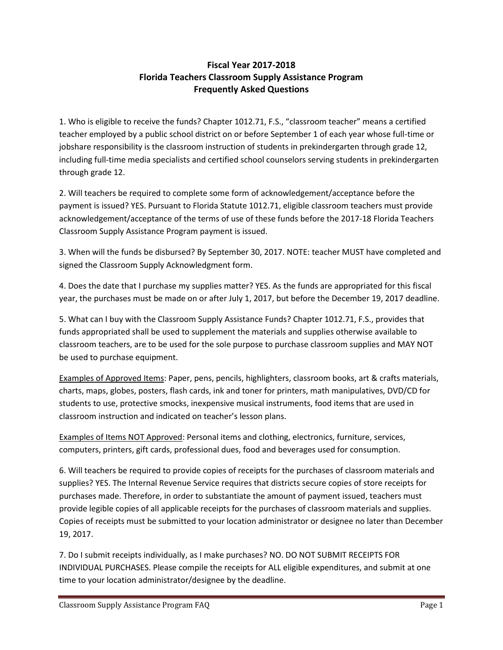## **Fiscal Year 2017-2018 Florida Teachers Classroom Supply Assistance Program Frequently Asked Questions**

1. Who is eligible to receive the funds? Chapter 1012.71, F.S., "classroom teacher" means a certified teacher employed by a public school district on or before September 1 of each year whose full-time or jobshare responsibility is the classroom instruction of students in prekindergarten through grade 12, including full-time media specialists and certified school counselors serving students in prekindergarten through grade 12.

2. Will teachers be required to complete some form of acknowledgement/acceptance before the payment is issued? YES. Pursuant to Florida Statute 1012.71, eligible classroom teachers must provide acknowledgement/acceptance of the terms of use of these funds before the 2017-18 Florida Teachers Classroom Supply Assistance Program payment is issued.

3. When will the funds be disbursed? By September 30, 2017. NOTE: teacher MUST have completed and signed the Classroom Supply Acknowledgment form.

4. Does the date that I purchase my supplies matter? YES. As the funds are appropriated for this fiscal year, the purchases must be made on or after July 1, 2017, but before the December 19, 2017 deadline.

5. What can I buy with the Classroom Supply Assistance Funds? Chapter 1012.71, F.S., provides that funds appropriated shall be used to supplement the materials and supplies otherwise available to classroom teachers, are to be used for the sole purpose to purchase classroom supplies and MAY NOT be used to purchase equipment.

Examples of Approved Items: Paper, pens, pencils, highlighters, classroom books, art & crafts materials, charts, maps, globes, posters, flash cards, ink and toner for printers, math manipulatives, DVD/CD for students to use, protective smocks, inexpensive musical instruments, food items that are used in classroom instruction and indicated on teacher's lesson plans.

Examples of Items NOT Approved: Personal items and clothing, electronics, furniture, services, computers, printers, gift cards, professional dues, food and beverages used for consumption.

6. Will teachers be required to provide copies of receipts for the purchases of classroom materials and supplies? YES. The Internal Revenue Service requires that districts secure copies of store receipts for purchases made. Therefore, in order to substantiate the amount of payment issued, teachers must provide legible copies of all applicable receipts for the purchases of classroom materials and supplies. Copies of receipts must be submitted to your location administrator or designee no later than December 19, 2017.

7. Do I submit receipts individually, as I make purchases? NO. DO NOT SUBMIT RECEIPTS FOR INDIVIDUAL PURCHASES. Please compile the receipts for ALL eligible expenditures, and submit at one time to your location administrator/designee by the deadline.